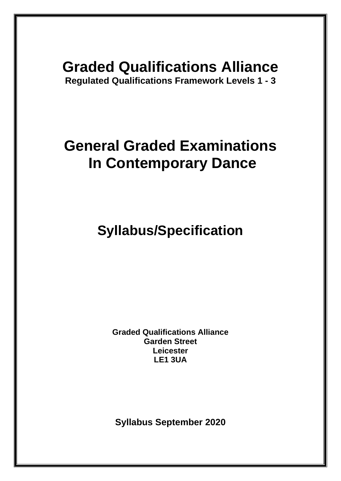## **Graded Qualifications Alliance**

**Regulated Qualifications Framework Levels 1 - 3**

# **General Graded Examinations In Contemporary Dance**

**Syllabus/Specification**

**Graded Qualifications Alliance Garden Street Leicester LE1 3UA**

**Syllabus September 2020**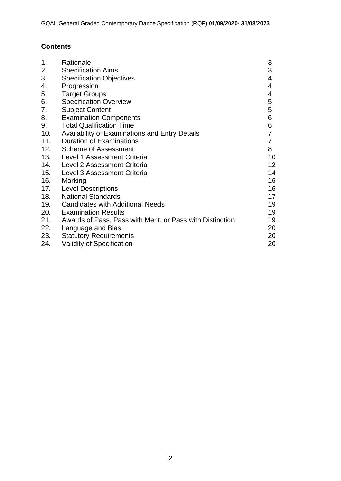## **Contents**

| 1.  | Rationale                                                 | 3                       |
|-----|-----------------------------------------------------------|-------------------------|
| 2.  | <b>Specification Aims</b>                                 | 3                       |
| 3.  | <b>Specification Objectives</b>                           | $\overline{\mathbf{4}}$ |
| 4.  | Progression                                               | $\overline{4}$          |
| 5.  | <b>Target Groups</b>                                      | 4                       |
| 6.  | <b>Specification Overview</b>                             | 5                       |
| 7.  | <b>Subject Content</b>                                    | 5                       |
| 8.  | <b>Examination Components</b>                             | 6                       |
| 9.  | <b>Total Qualification Time</b>                           | 6                       |
| 10. | <b>Availability of Examinations and Entry Details</b>     | 7                       |
| 11. | <b>Duration of Examinations</b>                           | $\overline{7}$          |
|     | 12. Scheme of Assessment                                  | 8                       |
| 13. | Level 1 Assessment Criteria                               | 10                      |
|     | 14. Level 2 Assessment Criteria                           | 12 <sub>2</sub>         |
|     | 15. Level 3 Assessment Criteria                           | 14                      |
| 16. | Marking                                                   | 16                      |
| 17. | <b>Level Descriptions</b>                                 | 16                      |
| 18. | <b>National Standards</b>                                 | 17                      |
| 19. | <b>Candidates with Additional Needs</b>                   | 19                      |
| 20. | <b>Examination Results</b>                                | 19                      |
| 21. | Awards of Pass, Pass with Merit, or Pass with Distinction | 19                      |
| 22. | Language and Bias                                         | 20                      |
| 23. | <b>Statutory Requirements</b>                             | 20                      |
| 24. | <b>Validity of Specification</b>                          | 20                      |
|     |                                                           |                         |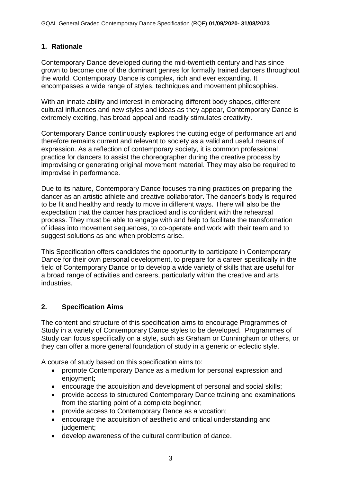#### **1. Rationale**

Contemporary Dance developed during the mid-twentieth century and has since grown to become one of the dominant genres for formally trained dancers throughout the world. Contemporary Dance is complex, rich and ever expanding. It encompasses a wide range of styles, techniques and movement philosophies.

With an innate ability and interest in embracing different body shapes, different cultural influences and new styles and ideas as they appear, Contemporary Dance is extremely exciting, has broad appeal and readily stimulates creativity.

Contemporary Dance continuously explores the cutting edge of performance art and therefore remains current and relevant to society as a valid and useful means of expression. As a reflection of contemporary society, it is common professional practice for dancers to assist the choreographer during the creative process by improvising or generating original movement material. They may also be required to improvise in performance.

Due to its nature, Contemporary Dance focuses training practices on preparing the dancer as an artistic athlete and creative collaborator. The dancer's body is required to be fit and healthy and ready to move in different ways. There will also be the expectation that the dancer has practiced and is confident with the rehearsal process. They must be able to engage with and help to facilitate the transformation of ideas into movement sequences, to co-operate and work with their team and to suggest solutions as and when problems arise.

This Specification offers candidates the opportunity to participate in Contemporary Dance for their own personal development, to prepare for a career specifically in the field of Contemporary Dance or to develop a wide variety of skills that are useful for a broad range of activities and careers, particularly within the creative and arts industries.

## **2. Specification Aims**

The content and structure of this specification aims to encourage Programmes of Study in a variety of Contemporary Dance styles to be developed. Programmes of Study can focus specifically on a style, such as Graham or Cunningham or others, or they can offer a more general foundation of study in a generic or eclectic style.

A course of study based on this specification aims to:

- promote Contemporary Dance as a medium for personal expression and enjoyment;
- encourage the acquisition and development of personal and social skills;
- provide access to structured Contemporary Dance training and examinations from the starting point of a complete beginner;
- provide access to Contemporary Dance as a vocation;
- encourage the acquisition of aesthetic and critical understanding and judgement;
- develop awareness of the cultural contribution of dance.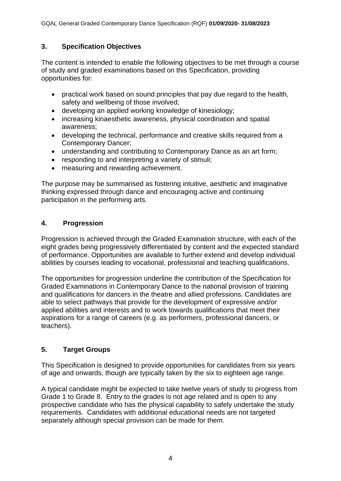## **3. Specification Objectives**

The content is intended to enable the following objectives to be met through a course of study and graded examinations based on this Specification, providing opportunities for:

- practical work based on sound principles that pay due regard to the health, safety and wellbeing of those involved;
- developing an applied working knowledge of kinesiology;
- increasing kinaesthetic awareness, physical coordination and spatial awareness;
- developing the technical, performance and creative skills required from a Contemporary Dancer;
- understanding and contributing to Contemporary Dance as an art form;
- responding to and interpreting a variety of stimuli;
- measuring and rewarding achievement.

The purpose may be summarised as fostering intuitive, aesthetic and imaginative thinking expressed through dance and encouraging active and continuing participation in the performing arts.

## **4. Progression**

Progression is achieved through the Graded Examination structure, with each of the eight grades being progressively differentiated by content and the expected standard of performance. Opportunities are available to further extend and develop individual abilities by courses leading to vocational, professional and teaching qualifications.

The opportunities for progression underline the contribution of the Specification for Graded Examinations in Contemporary Dance to the national provision of training and qualifications for dancers in the theatre and allied professions. Candidates are able to select pathways that provide for the development of expressive and/or applied abilities and interests and to work towards qualifications that meet their aspirations for a range of careers (e.g. as performers, professional dancers, or teachers).

## **5. Target Groups**

This Specification is designed to provide opportunities for candidates from six years of age and onwards, though are typically taken by the six to eighteen age range.

A typical candidate might be expected to take twelve years of study to progress from Grade 1 to Grade 8. Entry to the grades is not age related and is open to any prospective candidate who has the physical capability to safely undertake the study requirements. Candidates with additional educational needs are not targeted separately although special provision can be made for them.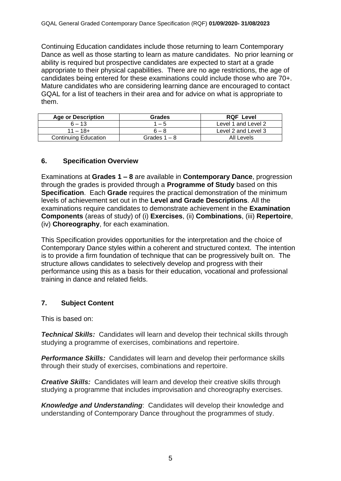Continuing Education candidates include those returning to learn Contemporary Dance as well as those starting to learn as mature candidates. No prior learning or ability is required but prospective candidates are expected to start at a grade appropriate to their physical capabilities. There are no age restrictions, the age of candidates being entered for these examinations could include those who are 70+. Mature candidates who are considering learning dance are encouraged to contact GQAL for a list of teachers in their area and for advice on what is appropriate to them.

| <b>Age or Description</b>   | <b>Grades</b>  | <b>RQF Level</b>    |
|-----------------------------|----------------|---------------------|
| $6 - 13$                    | $1 - 5$        | Level 1 and Level 2 |
| $11 - 18 +$                 | $6 - 8$        | Level 2 and Level 3 |
| <b>Continuing Education</b> | Grades $1 - 8$ | All Levels          |

#### **6. Specification Overview**

Examinations at **Grades 1 – 8** are available in **Contemporary Dance**, progression through the grades is provided through a **Programme of Study** based on this **Specification**. Each **Grade** requires the practical demonstration of the minimum levels of achievement set out in the **Level and Grade Descriptions**. All the examinations require candidates to demonstrate achievement in the **Examination Components** (areas of study) of (i) **Exercises**, (ii) **Combinations**, (iii) **Repertoire**, (iv) **Choreography**, for each examination.

This Specification provides opportunities for the interpretation and the choice of Contemporary Dance styles within a coherent and structured context. The intention is to provide a firm foundation of technique that can be progressively built on. The structure allows candidates to selectively develop and progress with their performance using this as a basis for their education, vocational and professional training in dance and related fields.

## **7. Subject Content**

This is based on:

*Technical Skills:* Candidates will learn and develop their technical skills through studying a programme of exercises, combinations and repertoire.

*Performance Skills:* Candidates will learn and develop their performance skills through their study of exercises, combinations and repertoire.

**Creative Skills:** Candidates will learn and develop their creative skills through studying a programme that includes improvisation and choreography exercises.

*Knowledge and Understanding*: Candidates will develop their knowledge and understanding of Contemporary Dance throughout the programmes of study.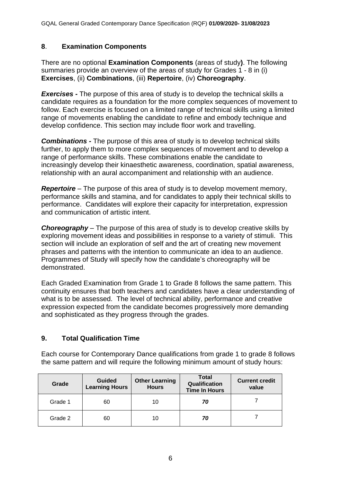#### **8**. **Examination Components**

There are no optional **Examination Components** (areas of study**)**. The following summaries provide an overview of the areas of study for Grades 1 - 8 in (i) **Exercises**, (ii) **Combinations**, (iii) **Repertoire**, (iv) **Choreography**.

*Exercises -* The purpose of this area of study is to develop the technical skills a candidate requires as a foundation for the more complex sequences of movement to follow. Each exercise is focused on a limited range of technical skills using a limited range of movements enabling the candidate to refine and embody technique and develop confidence. This section may include floor work and travelling.

*Combinations -* The purpose of this area of study is to develop technical skills further, to apply them to more complex sequences of movement and to develop a range of performance skills. These combinations enable the candidate to increasingly develop their kinaesthetic awareness, coordination, spatial awareness, relationship with an aural accompaniment and relationship with an audience.

*Repertoire* – The purpose of this area of study is to develop movement memory, performance skills and stamina, and for candidates to apply their technical skills to performance. Candidates will explore their capacity for interpretation, expression and communication of artistic intent.

*Choreography* – The purpose of this area of study is to develop creative skills by exploring movement ideas and possibilities in response to a variety of stimuli. This section will include an exploration of self and the art of creating new movement phrases and patterns with the intention to communicate an idea to an audience. Programmes of Study will specify how the candidate's choreography will be demonstrated.

Each Graded Examination from Grade 1 to Grade 8 follows the same pattern. This continuity ensures that both teachers and candidates have a clear understanding of what is to be assessed. The level of technical ability, performance and creative expression expected from the candidate becomes progressively more demanding and sophisticated as they progress through the grades.

## **9. Total Qualification Time**

Each course for Contemporary Dance qualifications from grade 1 to grade 8 follows the same pattern and will require the following minimum amount of study hours:

| Grade   | <b>Guided</b><br><b>Learning Hours</b> | <b>Other Learning</b><br><b>Hours</b> | <b>Total</b><br>Qualification<br><b>Time In Hours</b> | <b>Current credit</b><br>value |
|---------|----------------------------------------|---------------------------------------|-------------------------------------------------------|--------------------------------|
| Grade 1 | 60                                     | 10                                    | 70                                                    |                                |
| Grade 2 | 60                                     | 10                                    | 70                                                    |                                |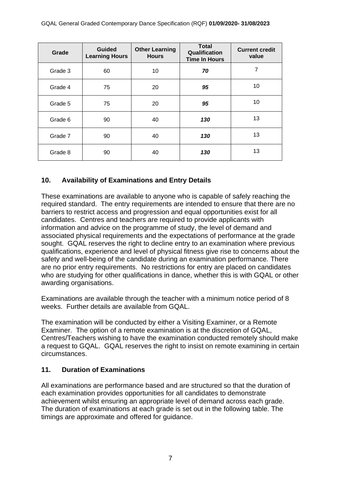| Grade   | <b>Guided</b><br><b>Learning Hours</b> | <b>Other Learning</b><br><b>Hours</b> | <b>Total</b><br>Qualification<br><b>Time In Hours</b> | <b>Current credit</b><br>value |
|---------|----------------------------------------|---------------------------------------|-------------------------------------------------------|--------------------------------|
| Grade 3 | 60                                     | 10                                    | 70                                                    | 7                              |
| Grade 4 | 75                                     | 20                                    | 95                                                    | 10                             |
| Grade 5 | 75                                     | 20                                    | 95                                                    | 10                             |
| Grade 6 | 90                                     | 40                                    | 130                                                   | 13                             |
| Grade 7 | 90                                     | 40                                    | 130                                                   | 13                             |
| Grade 8 | 90                                     | 40                                    | 130                                                   | 13                             |

## **10. Availability of Examinations and Entry Details**

These examinations are available to anyone who is capable of safely reaching the required standard. The entry requirements are intended to ensure that there are no barriers to restrict access and progression and equal opportunities exist for all candidates. Centres and teachers are required to provide applicants with information and advice on the programme of study, the level of demand and associated physical requirements and the expectations of performance at the grade sought. GQAL reserves the right to decline entry to an examination where previous qualifications, experience and level of physical fitness give rise to concerns about the safety and well-being of the candidate during an examination performance*.* There are no prior entry requirements. No restrictions for entry are placed on candidates who are studying for other qualifications in dance, whether this is with GQAL or other awarding organisations.

Examinations are available through the teacher with a minimum notice period of 8 weeks. Further details are available from GQAL.

The examination will be conducted by either a Visiting Examiner, or a Remote Examiner. The option of a remote examination is at the discretion of GQAL, Centres/Teachers wishing to have the examination conducted remotely should make a request to GQAL. GQAL reserves the right to insist on remote examining in certain circumstances.

## **11. Duration of Examinations**

All examinations are performance based and are structured so that the duration of each examination provides opportunities for all candidates to demonstrate achievement whilst ensuring an appropriate level of demand across each grade. The duration of examinations at each grade is set out in the following table. The timings are approximate and offered for guidance.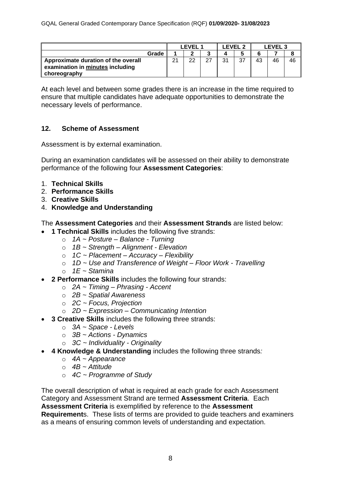|                                     |       |    | <b>FVFI</b> |   | <b>LEVEL</b> |    |    | EVEL 3- |    |
|-------------------------------------|-------|----|-------------|---|--------------|----|----|---------|----|
|                                     | Grade |    | ∽           |   |              |    |    |         |    |
| Approximate duration of the overall |       | າາ | ົດ          | ົ | 24           | 37 | 43 | 46      | 46 |
| examination in minutes including    |       |    |             |   |              |    |    |         |    |
| choreography                        |       |    |             |   |              |    |    |         |    |

At each level and between some grades there is an increase in the time required to ensure that multiple candidates have adequate opportunities to demonstrate the necessary levels of performance.

#### **12. Scheme of Assessment**

Assessment is by external examination.

During an examination candidates will be assessed on their ability to demonstrate performance of the following four **Assessment Categories**:

- 1. **Technical Skills**
- 2. **Performance Skills**
- 3. **Creative Skills**
- 4. **Knowledge and Understanding**

The **Assessment Categories** and their **Assessment Strands** are listed below:

- **1 Technical Skills** includes the following five strands:
	- o *1A ~ Posture – Balance - Turning*
	- o *1B ~ Strength – Alignment - Elevation*
	- o *1C ~ Placement – Accuracy – Flexibility*
	- o *1D ~ Use and Transference of Weight – Floor Work - Travelling*
	- o *1E ~ Stamina*
- **2 Performance Skills** includes the following four strands:
	- o *2A ~ Timing – Phrasing - Accent*
	- o *2B ~ Spatial Awareness*
	- o *2C ~ Focus, Projection*
	- o *2D ~ Expression – Communicating Intention*
- **3 Creative Skills** includes the following three strands:
	- o *3A ~ Space - Levels*
	- o *3B ~ Actions - Dynamics*
	- o *3C ~ Individuality - Originality*
- **4 Knowledge & Understanding** includes the following three strands*:*
	- o *4A ~ Appearance*
	- o *4B ~ Attitude*
	- o *4C ~ Programme of Study*

The overall description of what is required at each grade for each Assessment Category and Assessment Strand are termed **Assessment Criteria**. Each **Assessment Criteria** is exemplified by reference to the **Assessment Requirement**s. These lists of terms are provided to guide teachers and examiners as a means of ensuring common levels of understanding and expectation.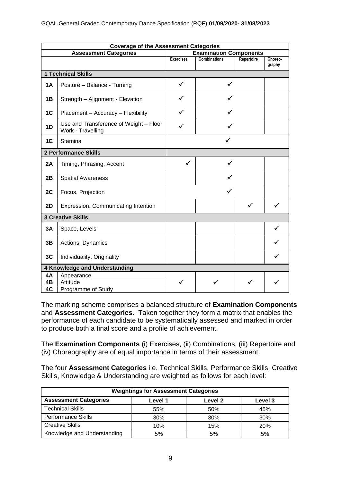|           | <b>Coverage of the Assessment Categories</b>                |                  |                               |            |                   |
|-----------|-------------------------------------------------------------|------------------|-------------------------------|------------|-------------------|
|           | <b>Assessment Categories</b>                                |                  | <b>Examination Components</b> |            |                   |
|           |                                                             | <b>Exercises</b> | <b>Combinations</b>           | Repertoire | Choreo-<br>graphy |
|           |                                                             |                  |                               |            |                   |
|           | <b>1 Technical Skills</b>                                   |                  |                               |            |                   |
| <b>1A</b> | Posture - Balance - Turning                                 | $\checkmark$     | $\checkmark$                  |            |                   |
| 1B        | Strength - Alignment - Elevation                            | ✓                |                               |            |                   |
| 1C        | Placement - Accuracy - Flexibility                          | ✓                |                               |            |                   |
| 1D        | Use and Transference of Weight - Floor<br>Work - Travelling | ✓                |                               |            |                   |
| 1E        | Stamina                                                     |                  | ✓                             |            |                   |
|           | <b>2 Performance Skills</b>                                 |                  |                               |            |                   |
| 2A        | Timing, Phrasing, Accent                                    | $\checkmark$     |                               |            |                   |
| 2B        | <b>Spatial Awareness</b>                                    |                  |                               |            |                   |
| 2C        | Focus, Projection                                           |                  | ✓                             |            |                   |
| 2D        | Expression, Communicating Intention                         |                  |                               | ✓          |                   |
|           | <b>3 Creative Skills</b>                                    |                  |                               |            |                   |
| 3A        | Space, Levels                                               |                  |                               |            |                   |
| 3B        | Actions, Dynamics                                           |                  |                               |            |                   |
| 3C        | Individuality, Originality                                  |                  |                               |            |                   |
|           | 4 Knowledge and Understanding                               |                  |                               |            |                   |
| 4Α        | Appearance                                                  |                  |                               |            |                   |
| 4B        | Attitude                                                    | ✓                |                               |            |                   |
| 4C        | Programme of Study                                          |                  |                               |            |                   |

The marking scheme comprises a balanced structure of **Examination Components** and **Assessment Categories**. Taken together they form a matrix that enables the performance of each candidate to be systematically assessed and marked in order to produce both a final score and a profile of achievement.

The **Examination Components** (i) Exercises, (ii) Combinations, (iii) Repertoire and (iv) Choreography are of equal importance in terms of their assessment.

The four **Assessment Categories** i.e. Technical Skills, Performance Skills, Creative Skills, Knowledge & Understanding are weighted as follows for each level:

| <b>Weightings for Assessment Categories</b> |         |                    |         |
|---------------------------------------------|---------|--------------------|---------|
| <b>Assessment Categories</b>                | Level 1 | Level <sub>2</sub> | Level 3 |
| <b>Technical Skills</b>                     | 55%     | 50%                | 45%     |
| <b>Performance Skills</b>                   | 30%     | 30%                | 30%     |
| <b>Creative Skills</b>                      | 10%     | 15%                | 20%     |
| Knowledge and Understanding                 | 5%      | 5%                 | 5%      |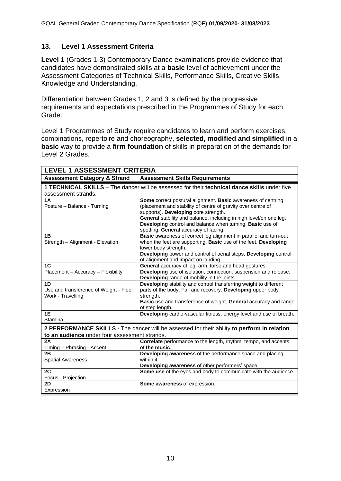#### **13. Level 1 Assessment Criteria**

**Level 1** (Grades 1-3) Contemporary Dance examinations provide evidence that candidates have demonstrated skills at a **basic** level of achievement under the Assessment Categories of Technical Skills, Performance Skills, Creative Skills, Knowledge and Understanding.

Differentiation between Grades 1, 2 and 3 is defined by the progressive requirements and expectations prescribed in the Programmes of Study for each Grade.

Level 1 Programmes of Study require candidates to learn and perform exercises, combinations, repertoire and choreography, **selected, modified and simplified** in a **basic** way to provide a **firm foundation** of skills in preparation of the demands for Level 2 Grades.

| <b>LEVEL 1 ASSESSMENT CRITERIA</b>                                                                                                                                                                                                                                      |  |  |  |
|-------------------------------------------------------------------------------------------------------------------------------------------------------------------------------------------------------------------------------------------------------------------------|--|--|--|
| <b>Assessment Skills Requirements</b>                                                                                                                                                                                                                                   |  |  |  |
| 1 TECHNICAL SKILLS - The dancer will be assessed for their technical dance skills under five<br>assessment strands.                                                                                                                                                     |  |  |  |
|                                                                                                                                                                                                                                                                         |  |  |  |
| Some correct postural alignment. Basic awareness of centring<br>(placement and stability of centre of gravity over centre of<br>supports). Developing core strength.<br>General stability and balance, including in high level/on one leg.                              |  |  |  |
| Developing control and balance when turning. Basic use of<br>spotting. General accuracy of facing.                                                                                                                                                                      |  |  |  |
| Basic awareness of correct leg alignment in parallel and turn-out<br>when the feet are supporting. Basic use of the feet. Developing<br>lower body strength.<br>Developing power and control of aerial steps. Developing control<br>of alignment and impact on landing. |  |  |  |
| General accuracy of leg, arm, torso and head gestures.                                                                                                                                                                                                                  |  |  |  |
| Developing use of isolation, connection, suspension and release.<br>Developing range of mobility in the joints.                                                                                                                                                         |  |  |  |
| Developing stability and control transferring weight to different<br>parts of the body. Fall and recovery. Developing upper body<br>strength.<br>Basic use and transference of weight. General accuracy and range<br>of step length.                                    |  |  |  |
| Developing cardio-vascular fitness, energy level and use of breath.                                                                                                                                                                                                     |  |  |  |
| Stamina<br>2 PERFORMANCE SKILLS - The dancer will be assessed for their ability to perform in relation<br>to an audience under four assessment strands.                                                                                                                 |  |  |  |
| Correlate performance to the length, rhythm, tempo, and accents<br>of the music.                                                                                                                                                                                        |  |  |  |
| Developing awareness of the performance space and placing<br>within it.<br>Developing awareness of other performers' space.                                                                                                                                             |  |  |  |
| Some use of the eyes and body to communicate with the audience.                                                                                                                                                                                                         |  |  |  |
| Some awareness of expression.                                                                                                                                                                                                                                           |  |  |  |
|                                                                                                                                                                                                                                                                         |  |  |  |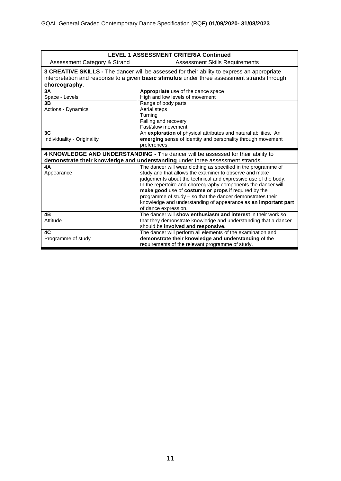| <b>LEVEL 1 ASSESSMENT CRITERIA Continued</b>                                                                                                                                                                 |                                                                                                                    |  |  |
|--------------------------------------------------------------------------------------------------------------------------------------------------------------------------------------------------------------|--------------------------------------------------------------------------------------------------------------------|--|--|
| Assessment Category & Strand                                                                                                                                                                                 | <b>Assessment Skills Requirements</b>                                                                              |  |  |
| 3 CREATIVE SKILLS - The dancer will be assessed for their ability to express an appropriate<br>interpretation and response to a given basic stimulus under three assessment strands through<br>choreography. |                                                                                                                    |  |  |
| 3A                                                                                                                                                                                                           | Appropriate use of the dance space                                                                                 |  |  |
| Space - Levels                                                                                                                                                                                               | High and low levels of movement                                                                                    |  |  |
| 3B                                                                                                                                                                                                           | Range of body parts                                                                                                |  |  |
| Actions - Dynamics                                                                                                                                                                                           | Aerial steps                                                                                                       |  |  |
|                                                                                                                                                                                                              | Turning                                                                                                            |  |  |
|                                                                                                                                                                                                              | Falling and recovery<br>Fast/slow movement                                                                         |  |  |
| 3C                                                                                                                                                                                                           | An exploration of physical attributes and natural abilities. An                                                    |  |  |
| Individuality - Originality                                                                                                                                                                                  | emerging sense of identity and personality through movement                                                        |  |  |
|                                                                                                                                                                                                              | preferences.                                                                                                       |  |  |
|                                                                                                                                                                                                              |                                                                                                                    |  |  |
|                                                                                                                                                                                                              |                                                                                                                    |  |  |
|                                                                                                                                                                                                              | 4 KNOWLEDGE AND UNDERSTANDING - The dancer will be assessed for their ability to                                   |  |  |
|                                                                                                                                                                                                              | demonstrate their knowledge and understanding under three assessment strands.                                      |  |  |
| 4A                                                                                                                                                                                                           | The dancer will wear clothing as specified in the programme of                                                     |  |  |
| Appearance                                                                                                                                                                                                   | study and that allows the examiner to observe and make                                                             |  |  |
|                                                                                                                                                                                                              | judgements about the technical and expressive use of the body.                                                     |  |  |
|                                                                                                                                                                                                              | In the repertoire and choreography components the dancer will                                                      |  |  |
|                                                                                                                                                                                                              | make good use of costume or props if required by the<br>programme of study - so that the dancer demonstrates their |  |  |
|                                                                                                                                                                                                              | knowledge and understanding of appearance as an important part                                                     |  |  |
|                                                                                                                                                                                                              | of dance expression.                                                                                               |  |  |
| 4B                                                                                                                                                                                                           | The dancer will show enthusiasm and interest in their work so                                                      |  |  |
| Attitude                                                                                                                                                                                                     | that they demonstrate knowledge and understanding that a dancer                                                    |  |  |
|                                                                                                                                                                                                              | should be involved and responsive.                                                                                 |  |  |
| 4C                                                                                                                                                                                                           | The dancer will perform all elements of the examination and                                                        |  |  |
| Programme of study                                                                                                                                                                                           | demonstrate their knowledge and understanding of the<br>requirements of the relevant programme of study.           |  |  |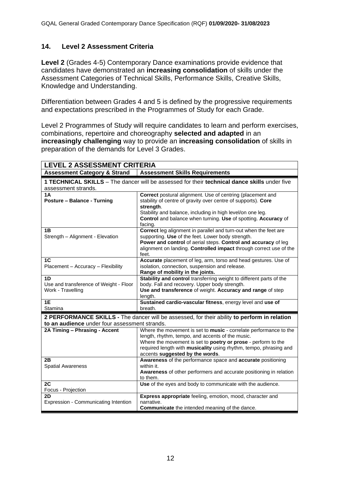#### **14. Level 2 Assessment Criteria**

**Level 2** (Grades 4-5) Contemporary Dance examinations provide evidence that candidates have demonstrated an **increasing consolidation** of skills under the Assessment Categories of Technical Skills, Performance Skills, Creative Skills, Knowledge and Understanding.

Differentiation between Grades 4 and 5 is defined by the progressive requirements and expectations prescribed in the Programmes of Study for each Grade.

Level 2 Programmes of Study will require candidates to learn and perform exercises, combinations, repertoire and choreography **selected and adapted** in an **increasingly challenging** way to provide an **increasing consolidation** of skills in preparation of the demands for Level 3 Grades.

| <b>LEVEL 2 ASSESSMENT CRITERIA</b>                                                                                  |                                                                                                                                                                                                                                                                                                |  |  |
|---------------------------------------------------------------------------------------------------------------------|------------------------------------------------------------------------------------------------------------------------------------------------------------------------------------------------------------------------------------------------------------------------------------------------|--|--|
| <b>Assessment Category &amp; Strand</b>                                                                             | <b>Assessment Skills Requirements</b>                                                                                                                                                                                                                                                          |  |  |
| 1 TECHNICAL SKILLS - The dancer will be assessed for their technical dance skills under five<br>assessment strands. |                                                                                                                                                                                                                                                                                                |  |  |
| 1Α<br><b>Posture - Balance - Turning</b>                                                                            | Correct postural alignment. Use of centring (placement and<br>stability of centre of gravity over centre of supports). Core<br>strength.<br>Stability and balance, including in high level/on one leg.<br>Control and balance when turning. Use of spotting. Accuracy of<br>facing.            |  |  |
| 1B<br>Strength - Alignment - Elevation                                                                              | Correct leg alignment in parallel and turn-out when the feet are<br>supporting. Use of the feet. Lower body strength.<br>Power and control of aerial steps. Control and accuracy of leg<br>alignment on landing. Controlled impact through correct use of the<br>feet.                         |  |  |
| 1 <sup>C</sup><br>Placement - Accuracy - Flexibility                                                                | Accurate placement of leg, arm, torso and head gestures. Use of<br>isolation, connection, suspension and release.<br>Range of mobility in the joints.                                                                                                                                          |  |  |
| 1D<br>Use and transference of Weight - Floor<br>Work - Travelling                                                   | Stability and control transferring weight to different parts of the<br>body. Fall and recovery. Upper body strength.<br>Use and transference of weight. Accuracy and range of step<br>length.                                                                                                  |  |  |
| 1E<br>Stamina                                                                                                       | Sustained cardio-vascular fitness, energy level and use of<br>breath.                                                                                                                                                                                                                          |  |  |
| to an audience under four assessment strands.                                                                       | 2 PERFORMANCE SKILLS - The dancer will be assessed, for their ability to perform in relation                                                                                                                                                                                                   |  |  |
| 2A Timing - Phrasing - Accent                                                                                       | Where the movement is set to music - correlate performance to the<br>length, rhythm, tempo, and accents of the music.<br>Where the movement is set to poetry or prose - perform to the<br>required length with musicality using rhythm, tempo, phrasing and<br>accents suggested by the words. |  |  |
| 2B<br><b>Spatial Awareness</b>                                                                                      | Awareness of the performance space and accurate positioning<br>within it.<br>Awareness of other performers and accurate positioning in relation<br>to them.                                                                                                                                    |  |  |
| 2C<br>Focus - Projection                                                                                            | Use of the eyes and body to communicate with the audience.                                                                                                                                                                                                                                     |  |  |
| 2D<br>Expression - Communicating Intention                                                                          | Express appropriate feeling, emotion, mood, character and<br>narrative.<br>Communicate the intended meaning of the dance.                                                                                                                                                                      |  |  |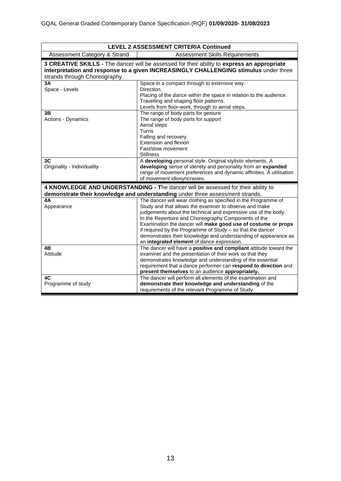| <b>LEVEL 2 ASSESSMENT CRITERIA Continued</b>                                                                                                                                                                         |                                                                                                                                                                                                                                                                                                                                                                                                                                                                                                    |  |  |
|----------------------------------------------------------------------------------------------------------------------------------------------------------------------------------------------------------------------|----------------------------------------------------------------------------------------------------------------------------------------------------------------------------------------------------------------------------------------------------------------------------------------------------------------------------------------------------------------------------------------------------------------------------------------------------------------------------------------------------|--|--|
| Assessment Category & Strand                                                                                                                                                                                         | <b>Assessment Skills Requirements</b>                                                                                                                                                                                                                                                                                                                                                                                                                                                              |  |  |
| 3 CREATIVE SKILLS - The dancer will be assessed for their ability to express an appropriate<br>interpretation and response to a given INCREASINGLY CHALLENGING stimulus under three<br>strands through Choreography. |                                                                                                                                                                                                                                                                                                                                                                                                                                                                                                    |  |  |
| 3A<br>Space - Levels                                                                                                                                                                                                 | Space in a compact through to extensive way.<br>Direction.<br>Placing of the dance within the space in relation to the audience.<br>Travelling and shaping floor patterns.<br>Levels from floor-work, through to aerial steps.                                                                                                                                                                                                                                                                     |  |  |
| 3В<br>Actions - Dynamics                                                                                                                                                                                             | The range of body parts for gesture<br>The range of body parts for support<br>Aerial steps<br>Turns<br>Falling and recovery<br><b>Extension and flexion</b><br>Fast/slow movement<br><b>Stillness</b>                                                                                                                                                                                                                                                                                              |  |  |
| 3C<br>Originality - Individuality                                                                                                                                                                                    | A developing personal style. Original stylistic elements. A<br>developing sense of identity and personality from an expanded<br>range of movement preferences and dynamic affinities. A utilisation<br>of movement idiosyncrasies.                                                                                                                                                                                                                                                                 |  |  |
|                                                                                                                                                                                                                      | 4 KNOWLEDGE AND UNDERSTANDING - The dancer will be assessed for their ability to<br>demonstrate their knowledge and understanding under three assessment strands.                                                                                                                                                                                                                                                                                                                                  |  |  |
| 4Α<br>Appearance                                                                                                                                                                                                     | The dancer will wear clothing as specified in the Programme of<br>Study and that allows the examiner to observe and make<br>judgements about the technical and expressive use of the body.<br>In the Repertoire and Choreography Components of the<br>Examination the dancer will make good use of costume or props<br>if required by the Programme of Study - so that the dancer<br>demonstrates their knowledge and understanding of appearance as<br>an integrated element of dance expression. |  |  |
| 4Β<br>Attitude                                                                                                                                                                                                       | The dancer will have a positive and compliant attitude toward the<br>examiner and the presentation of their work so that they<br>demonstrates knowledge and understanding of the essential<br>requirement that a dance performer can respond to direction and<br>present themselves to an audience appropriately.                                                                                                                                                                                  |  |  |
| 4C<br>Programme of study                                                                                                                                                                                             | The dancer will perform all elements of the examination and<br>demonstrate their knowledge and understanding of the<br>requirements of the relevant Programme of Study.                                                                                                                                                                                                                                                                                                                            |  |  |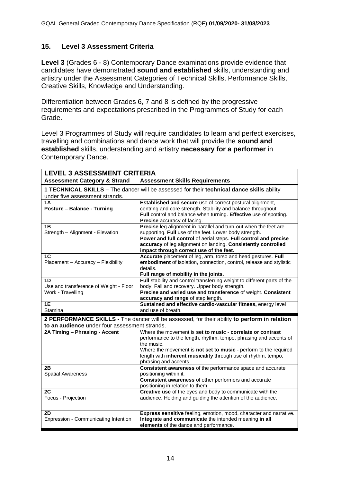#### **15. Level 3 Assessment Criteria**

**Level 3** (Grades 6 - 8) Contemporary Dance examinations provide evidence that candidates have demonstrated **sound and established** skills, understanding and artistry under the Assessment Categories of Technical Skills, Performance Skills, Creative Skills, Knowledge and Understanding.

Differentiation between Grades 6, 7 and 8 is defined by the progressive requirements and expectations prescribed in the Programmes of Study for each Grade.

Level 3 Programmes of Study will require candidates to learn and perfect exercises, travelling and combinations and dance work that will provide the **sound and established** skills, understanding and artistry **necessary for a performer** in Contemporary Dance.

| <b>LEVEL 3 ASSESSMENT CRITERIA</b>                                                                                          |                                                                                                                                                                                                                                                                                                             |  |  |
|-----------------------------------------------------------------------------------------------------------------------------|-------------------------------------------------------------------------------------------------------------------------------------------------------------------------------------------------------------------------------------------------------------------------------------------------------------|--|--|
| <b>Assessment Category &amp; Strand</b>                                                                                     | <b>Assessment Skills Requirements</b>                                                                                                                                                                                                                                                                       |  |  |
| 1 TECHNICAL SKILLS - The dancer will be assessed for their technical dance skills ability<br>under five assessment strands. |                                                                                                                                                                                                                                                                                                             |  |  |
| 1A<br><b>Posture - Balance - Turning</b>                                                                                    | Established and secure use of correct postural alignment,<br>centring and core strength. Stability and balance throughout.<br>Full control and balance when turning. Effective use of spotting.<br>Precise accuracy of facing.                                                                              |  |  |
| 1B<br>Strength - Alignment - Elevation                                                                                      | Precise leg alignment in parallel and turn-out when the feet are<br>supporting. Full use of the feet. Lower body strength.<br>Power and full control of aerial steps. Full control and precise<br>accuracy of leg alignment on landing. Consistently controlled<br>impact through correct use of the feet.  |  |  |
| 1 <sub>C</sub><br>Placement - Accuracy - Flexibility                                                                        | Accurate placement of leg, arm, torso and head gestures. Full<br>embodiment of isolation, connection, control, release and stylistic<br>details.<br>Full range of mobility in the joints.                                                                                                                   |  |  |
| 1D<br>Use and transference of Weight - Floor<br>Work - Travelling                                                           | Full stability and control transferring weight to different parts of the<br>body. Fall and recovery. Upper body strength.<br>Precise and varied use and transference of weight. Consistent<br>accuracy and range of step length.                                                                            |  |  |
| 1E<br>Stamina                                                                                                               | Sustained and effective cardio-vascular fitness, energy level<br>and use of breath.                                                                                                                                                                                                                         |  |  |
| to an audience under four assessment strands.                                                                               | 2 PERFORMANCE SKILLS - The dancer will be assessed, for their ability to perform in relation                                                                                                                                                                                                                |  |  |
| 2A Timing - Phrasing - Accent                                                                                               | Where the movement is set to music - correlate or contrast<br>performance to the length, rhythm, tempo, phrasing and accents of<br>the music.<br>Where the movement is not set to music - perform to the required<br>length with inherent musicality through use of rhythm, tempo,<br>phrasing and accents. |  |  |
| 2B<br><b>Spatial Awareness</b>                                                                                              | Consistent awareness of the performance space and accurate<br>positioning within it.<br>Consistent awareness of other performers and accurate<br>positioning in relation to them.                                                                                                                           |  |  |
| 2C<br>Focus - Projection                                                                                                    | Creative use of the eyes and body to communicate with the<br>audience. Holding and guiding the attention of the audience.                                                                                                                                                                                   |  |  |
| 2D<br>Expression - Communicating Intention                                                                                  | Express sensitive feeling, emotion, mood, character and narrative.<br>Integrate and communicate the intended meaning in all<br>elements of the dance and performance.                                                                                                                                       |  |  |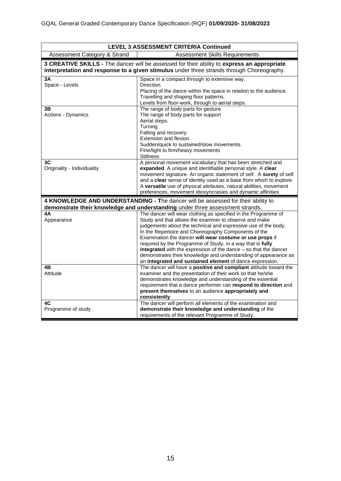| <b>LEVEL 3 ASSESSMENT CRITERIA Continued</b>                                                                                                                                             |                                                                                                                                                                                                                                                                                                                                                                                                                                                                                                                                                                                 |  |  |  |  |
|------------------------------------------------------------------------------------------------------------------------------------------------------------------------------------------|---------------------------------------------------------------------------------------------------------------------------------------------------------------------------------------------------------------------------------------------------------------------------------------------------------------------------------------------------------------------------------------------------------------------------------------------------------------------------------------------------------------------------------------------------------------------------------|--|--|--|--|
| <b>Assessment Skills Requirements</b><br>Assessment Category & Strand                                                                                                                    |                                                                                                                                                                                                                                                                                                                                                                                                                                                                                                                                                                                 |  |  |  |  |
| 3 CREATIVE SKILLS - The dancer will be assessed for their ability to express an appropriate<br>interpretation and response to a given stimulus under three strands through Choreography. |                                                                                                                                                                                                                                                                                                                                                                                                                                                                                                                                                                                 |  |  |  |  |
| 3Α<br>Space - Levels                                                                                                                                                                     | Space in a compact through to extensive way.<br>Direction.<br>Placing of the dance within the space in relation to the audience.<br>Travelling and shaping floor patterns.<br>Levels from floor-work, through to aerial steps.                                                                                                                                                                                                                                                                                                                                                  |  |  |  |  |
| 3В<br>Actions - Dynamics                                                                                                                                                                 | The range of body parts for gesture<br>The range of body parts for support<br>Aerial steps.<br>Turning<br>Falling and recovery.<br>Extension and flexion.<br>Sudden/quick to sustained/slow movements.<br>Fine/light to firm/heavy movements<br><b>Stillness</b>                                                                                                                                                                                                                                                                                                                |  |  |  |  |
| ЗC<br>Originality - Individuality                                                                                                                                                        | A personal movement vocabulary that has been stretched and<br>expanded. A unique and identifiable personal style. A clear<br>movement signature. An organic statement of self. A surety of self<br>and a clear sense of identity used as a base from which to explore.<br>A versatile use of physical attributes, natural abilities, movement<br>preferences, movement idiosyncrasies and dynamic affinities                                                                                                                                                                    |  |  |  |  |
|                                                                                                                                                                                          | 4 KNOWLEDGE AND UNDERSTANDING - The dancer will be assessed for their ability to<br>demonstrate their knowledge and understanding under three assessment strands.                                                                                                                                                                                                                                                                                                                                                                                                               |  |  |  |  |
| 4А<br>Appearance                                                                                                                                                                         | The dancer will wear clothing as specified in the Programme of<br>Study and that allows the examiner to observe and make<br>judgements about the technical and expressive use of the body.<br>In the Repertoire and Choreography Components of the<br>Examination the dancer will wear costume or use props if<br>required by the Programme of Study, in a way that is fully<br>integrated with the expression of the dance - so that the dancer<br>demonstrates their knowledge and understanding of appearance as<br>an integrated and sustained element of dance expression. |  |  |  |  |
| 4Β<br>Attitude                                                                                                                                                                           | The dancer will have a positive and compliant attitude toward the<br>examiner and the presentation of their work so that he/she<br>demonstrates knowledge and understanding of the essential<br>requirement that a dance performer can respond to direction and<br>present themselves to an audience appropriately and<br>consistently                                                                                                                                                                                                                                          |  |  |  |  |
| 4C<br>Programme of study                                                                                                                                                                 | The dancer will perform all elements of the examination and<br>demonstrate their knowledge and understanding of the<br>requirements of the relevant Programme of Study.                                                                                                                                                                                                                                                                                                                                                                                                         |  |  |  |  |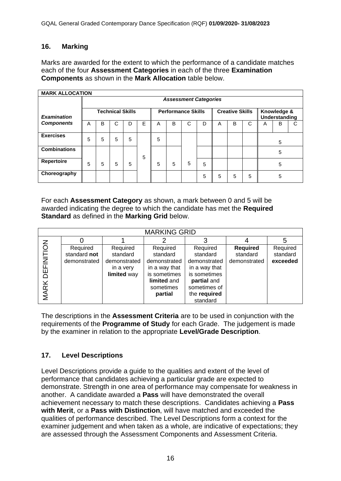#### **16. Marking**

Marks are awarded for the extent to which the performance of a candidate matches each of the four **Assessment Categories** in each of the three **Examination Components** as shown in the **Mark Allocation** table below.

| <b>MARK ALLOCATION</b> |                              |   |                         |   |   |                           |   |   |                        |   |   |                              |   |   |   |
|------------------------|------------------------------|---|-------------------------|---|---|---------------------------|---|---|------------------------|---|---|------------------------------|---|---|---|
|                        | <b>Assessment Categories</b> |   |                         |   |   |                           |   |   |                        |   |   |                              |   |   |   |
| <b>Examination</b>     |                              |   | <b>Technical Skills</b> |   |   | <b>Performance Skills</b> |   |   | <b>Creative Skills</b> |   |   | Knowledge &<br>Understanding |   |   |   |
| <b>Components</b>      | A                            | B | С                       | D | E | A                         | B | С | D                      | А | B | C                            | A | B | C |
| <b>Exercises</b>       | 5                            | 5 | 5                       | 5 |   | 5                         |   |   |                        |   |   |                              |   | 5 |   |
| <b>Combinations</b>    |                              |   |                         |   | 5 |                           |   |   |                        |   |   |                              | 5 |   |   |
| Repertoire             | 5                            | 5 | 5                       | 5 |   | 5                         | 5 | 5 | 5                      |   |   |                              |   | 5 |   |
| Choreography           |                              |   |                         |   |   |                           |   |   | 5                      | 5 | 5 | 5                            |   | 5 |   |

For each **Assessment Category** as shown, a mark between 0 and 5 will be awarded indicating the degree to which the candidate has met the **Required Standard** as defined in the **Marking Grid** below.

| <b>MARKING GRID</b> |              |              |               |               |                 |          |  |  |
|---------------------|--------------|--------------|---------------|---------------|-----------------|----------|--|--|
|                     |              |              |               |               |                 |          |  |  |
| $\overline{6}$      | Required     | Required     | Required      | Required      | <b>Required</b> | Required |  |  |
|                     | standard not | standard     | standard      | standard      | standard        | standard |  |  |
| <b>FINITI</b>       | demonstrated | demonstrated | demonstrated  | demonstrated  | demonstrated    | exceeded |  |  |
|                     |              | in a very    | in a way that | in a way that |                 |          |  |  |
| 邑                   |              | limited way  | is sometimes  | is sometimes  |                 |          |  |  |
|                     |              |              | limited and   | partial and   |                 |          |  |  |
| $\frac{1}{2}$       |              |              | sometimes     | sometimes of  |                 |          |  |  |
| MAI                 |              |              | partial       | the required  |                 |          |  |  |
|                     |              |              |               | standard      |                 |          |  |  |

The descriptions in the **Assessment Criteria** are to be used in conjunction with the requirements of the **Programme of Study** for each Grade. The judgement is made by the examiner in relation to the appropriate **Level/Grade Description**.

## **17. Level Descriptions**

Level Descriptions provide a guide to the qualities and extent of the level of performance that candidates achieving a particular grade are expected to demonstrate. Strength in one area of performance may compensate for weakness in another. A candidate awarded a **Pass** will have demonstrated the overall achievement necessary to match these descriptions. Candidates achieving a **Pass with Merit**, or a **Pass with Distinction**, will have matched and exceeded the qualities of performance described. The Level Descriptions form a context for the examiner judgement and when taken as a whole, are indicative of expectations; they are assessed through the Assessment Components and Assessment Criteria.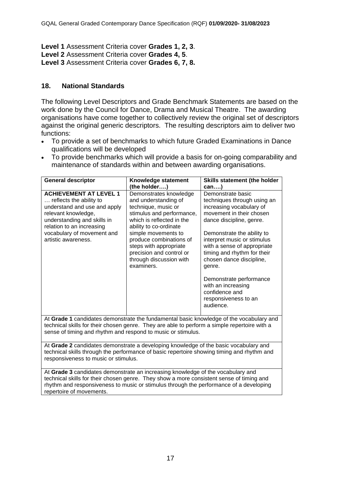**Level 1** Assessment Criteria cover **Grades 1, 2, 3**. **Level 2** Assessment Criteria cover **Grades 4, 5**.

**Level 3** Assessment Criteria cover **Grades 6, 7, 8.**

## **18. National Standards**

The following Level Descriptors and Grade Benchmark Statements are based on the work done by the Council for Dance, Drama and Musical Theatre. The awarding organisations have come together to collectively review the original set of descriptors against the original generic descriptors. The resulting descriptors aim to deliver two functions:

- To provide a set of benchmarks to which future Graded Examinations in Dance qualifications will be developed
- To provide benchmarks which will provide a basis for on-going comparability and maintenance of standards within and between awarding organisations.

| <b>General descriptor</b>                                                                                                                                                                                                                                                                         | Knowledge statement                                                                                                                                                                                                                                                                                        | Skills statement (the holder                                                                                                                                                                                                                                                                                                                                                                                  |  |  |  |  |
|---------------------------------------------------------------------------------------------------------------------------------------------------------------------------------------------------------------------------------------------------------------------------------------------------|------------------------------------------------------------------------------------------------------------------------------------------------------------------------------------------------------------------------------------------------------------------------------------------------------------|---------------------------------------------------------------------------------------------------------------------------------------------------------------------------------------------------------------------------------------------------------------------------------------------------------------------------------------------------------------------------------------------------------------|--|--|--|--|
|                                                                                                                                                                                                                                                                                                   | (the holder)                                                                                                                                                                                                                                                                                               | $can$ )                                                                                                                                                                                                                                                                                                                                                                                                       |  |  |  |  |
| <b>ACHIEVEMENT AT LEVEL 1</b><br>reflects the ability to<br>understand and use and apply<br>relevant knowledge,<br>understanding and skills in<br>relation to an increasing<br>vocabulary of movement and<br>artistic awareness.                                                                  | Demonstrates knowledge<br>and understanding of<br>technique, music or<br>stimulus and performance,<br>which is reflected in the<br>ability to co-ordinate<br>simple movements to<br>produce combinations of<br>steps with appropriate<br>precision and control or<br>through discussion with<br>examiners. | Demonstrate basic<br>techniques through using an<br>increasing vocabulary of<br>movement in their chosen<br>dance discipline, genre.<br>Demonstrate the ability to<br>interpret music or stimulus<br>with a sense of appropriate<br>timing and rhythm for their<br>chosen dance discipline,<br>genre.<br>Demonstrate performance<br>with an increasing<br>confidence and<br>responsiveness to an<br>audience. |  |  |  |  |
| At Grade 1 candidates demonstrate the fundamental basic knowledge of the vocabulary and<br>technical skills for their chosen genre. They are able to perform a simple repertoire with a<br>sense of timing and rhythm and respond to music or stimulus.                                           |                                                                                                                                                                                                                                                                                                            |                                                                                                                                                                                                                                                                                                                                                                                                               |  |  |  |  |
| At Grade 2 candidates demonstrate a developing knowledge of the basic vocabulary and<br>technical skills through the performance of basic repertoire showing timing and rhythm and<br>responsiveness to music or stimulus.                                                                        |                                                                                                                                                                                                                                                                                                            |                                                                                                                                                                                                                                                                                                                                                                                                               |  |  |  |  |
| At Grade 3 candidates demonstrate an increasing knowledge of the vocabulary and<br>technical skills for their chosen genre. They show a more consistent sense of timing and<br>rhythm and responsiveness to music or stimulus through the performance of a developing<br>repertoire of movements. |                                                                                                                                                                                                                                                                                                            |                                                                                                                                                                                                                                                                                                                                                                                                               |  |  |  |  |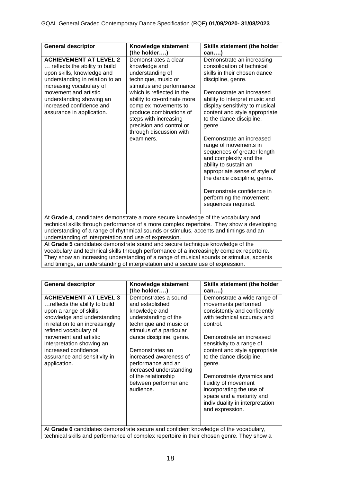| <b>General descriptor</b>                                                                                                                                                                                                                                                 | Knowledge statement                                                                                                                                                                                                                                                                                                       | Skills statement (the holder                                                                                                                                                                                                                                                                                                                                                                                                                                                                                                                                                |  |  |  |  |
|---------------------------------------------------------------------------------------------------------------------------------------------------------------------------------------------------------------------------------------------------------------------------|---------------------------------------------------------------------------------------------------------------------------------------------------------------------------------------------------------------------------------------------------------------------------------------------------------------------------|-----------------------------------------------------------------------------------------------------------------------------------------------------------------------------------------------------------------------------------------------------------------------------------------------------------------------------------------------------------------------------------------------------------------------------------------------------------------------------------------------------------------------------------------------------------------------------|--|--|--|--|
|                                                                                                                                                                                                                                                                           | (the holder)                                                                                                                                                                                                                                                                                                              | can)                                                                                                                                                                                                                                                                                                                                                                                                                                                                                                                                                                        |  |  |  |  |
| <b>ACHIEVEMENT AT LEVEL 2</b><br>reflects the ability to build<br>upon skills, knowledge and<br>understanding in relation to an<br>increasing vocabulary of<br>movement and artistic<br>understanding showing an<br>increased confidence and<br>assurance in application. | Demonstrates a clear<br>knowledge and<br>understanding of<br>technique, music or<br>stimulus and performance<br>which is reflected in the<br>ability to co-ordinate more<br>complex movements to<br>produce combinations of<br>steps with increasing<br>precision and control or<br>through discussion with<br>examiners. | Demonstrate an increasing<br>consolidation of technical<br>skills in their chosen dance<br>discipline, genre.<br>Demonstrate an increased<br>ability to interpret music and<br>display sensitivity to musical<br>content and style appropriate<br>to the dance discipline,<br>genre.<br>Demonstrate an increased<br>range of movements in<br>sequences of greater length<br>and complexity and the<br>ability to sustain an<br>appropriate sense of style of<br>the dance discipline, genre.<br>Demonstrate confidence in<br>performing the movement<br>sequences required. |  |  |  |  |
| At Grade 4, candidates demonstrate a more secure knowledge of the vocabulary and                                                                                                                                                                                          |                                                                                                                                                                                                                                                                                                                           |                                                                                                                                                                                                                                                                                                                                                                                                                                                                                                                                                                             |  |  |  |  |
| technical skills through performance of a more complex repertoire. They show a developing                                                                                                                                                                                 |                                                                                                                                                                                                                                                                                                                           |                                                                                                                                                                                                                                                                                                                                                                                                                                                                                                                                                                             |  |  |  |  |
| understanding of a range of rhythmical sounds or stimulus, accents and timings and an                                                                                                                                                                                     |                                                                                                                                                                                                                                                                                                                           |                                                                                                                                                                                                                                                                                                                                                                                                                                                                                                                                                                             |  |  |  |  |
| understanding of interpretation and use of expression.                                                                                                                                                                                                                    |                                                                                                                                                                                                                                                                                                                           |                                                                                                                                                                                                                                                                                                                                                                                                                                                                                                                                                                             |  |  |  |  |
| At Grade 5 candidates demonstrate sound and secure technique knowledge of the                                                                                                                                                                                             |                                                                                                                                                                                                                                                                                                                           |                                                                                                                                                                                                                                                                                                                                                                                                                                                                                                                                                                             |  |  |  |  |
| vocabulary and technical skills through performance of a increasingly complex repertoire.                                                                                                                                                                                 |                                                                                                                                                                                                                                                                                                                           |                                                                                                                                                                                                                                                                                                                                                                                                                                                                                                                                                                             |  |  |  |  |
| They show an increasing understanding of a range of musical sounds or stimulus, accents                                                                                                                                                                                   |                                                                                                                                                                                                                                                                                                                           |                                                                                                                                                                                                                                                                                                                                                                                                                                                                                                                                                                             |  |  |  |  |
| and timings, an understanding of interpretation and a secure use of expression.                                                                                                                                                                                           |                                                                                                                                                                                                                                                                                                                           |                                                                                                                                                                                                                                                                                                                                                                                                                                                                                                                                                                             |  |  |  |  |

| <b>General descriptor</b>                                                                                                                                                                                                                                                                                          | Knowledge statement                                                                                                                                                                                                                                                                                                           | Skills statement (the holder                                                                                                                                                                                                                                                                                                                                                                                                    |  |  |  |
|--------------------------------------------------------------------------------------------------------------------------------------------------------------------------------------------------------------------------------------------------------------------------------------------------------------------|-------------------------------------------------------------------------------------------------------------------------------------------------------------------------------------------------------------------------------------------------------------------------------------------------------------------------------|---------------------------------------------------------------------------------------------------------------------------------------------------------------------------------------------------------------------------------------------------------------------------------------------------------------------------------------------------------------------------------------------------------------------------------|--|--|--|
|                                                                                                                                                                                                                                                                                                                    | (the holder….)                                                                                                                                                                                                                                                                                                                | can                                                                                                                                                                                                                                                                                                                                                                                                                             |  |  |  |
| <b>ACHIEVEMENT AT LEVEL 3</b><br>reflects the ability to build<br>upon a range of skills,<br>knowledge and understanding<br>in relation to an increasingly<br>refined vocabulary of<br>movement and artistic<br>interpretation showing an<br>increased confidence,<br>assurance and sensitivity in<br>application. | Demonstrates a sound<br>and established<br>knowledge and<br>understanding of the<br>technique and music or<br>stimulus of a particular<br>dance discipline, genre.<br>Demonstrates an<br>increased awareness of<br>performance and an<br>increased understanding<br>of the relationship<br>between performer and<br>audience. | Demonstrate a wide range of<br>movements performed<br>consistently and confidently<br>with technical accuracy and<br>control.<br>Demonstrate an increased<br>sensitivity to a range of<br>content and style appropriate<br>to the dance discipline,<br>genre.<br>Demonstrate dynamics and<br>fluidity of movement<br>incorporating the use of<br>space and a maturity and<br>individuality in interpretation<br>and expression. |  |  |  |
| At Grade 6 candidates demonstrate secure and confident knowledge of the vocabulary,<br>technical skills and performance of complex repertoire in their chosen genre. They show a                                                                                                                                   |                                                                                                                                                                                                                                                                                                                               |                                                                                                                                                                                                                                                                                                                                                                                                                                 |  |  |  |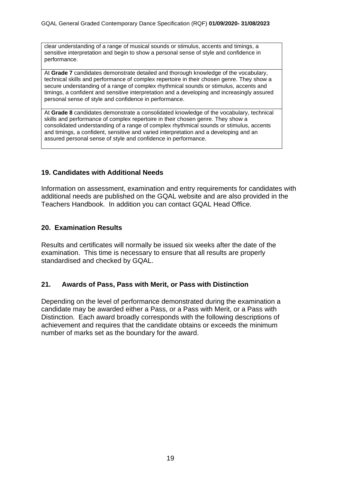clear understanding of a range of musical sounds or stimulus, accents and timings, a sensitive interpretation and begin to show a personal sense of style and confidence in performance.

At **Grade 7** candidates demonstrate detailed and thorough knowledge of the vocabulary, technical skills and performance of complex repertoire in their chosen genre. They show a secure understanding of a range of complex rhythmical sounds or stimulus, accents and timings, a confident and sensitive interpretation and a developing and increasingly assured personal sense of style and confidence in performance.

At **Grade 8** candidates demonstrate a consolidated knowledge of the vocabulary, technical skills and performance of complex repertoire in their chosen genre. They show a consolidated understanding of a range of complex rhythmical sounds or stimulus, accents and timings, a confident, sensitive and varied interpretation and a developing and an assured personal sense of style and confidence in performance.

#### **19. Candidates with Additional Needs**

Information on assessment, examination and entry requirements for candidates with additional needs are published on the GQAL website and are also provided in the Teachers Handbook. In addition you can contact GQAL Head Office.

#### **20. Examination Results**

Results and certificates will normally be issued six weeks after the date of the examination. This time is necessary to ensure that all results are properly standardised and checked by GQAL.

#### **21. Awards of Pass, Pass with Merit, or Pass with Distinction**

Depending on the level of performance demonstrated during the examination a candidate may be awarded either a Pass, or a Pass with Merit, or a Pass with Distinction. Each award broadly corresponds with the following descriptions of achievement and requires that the candidate obtains or exceeds the minimum number of marks set as the boundary for the award.